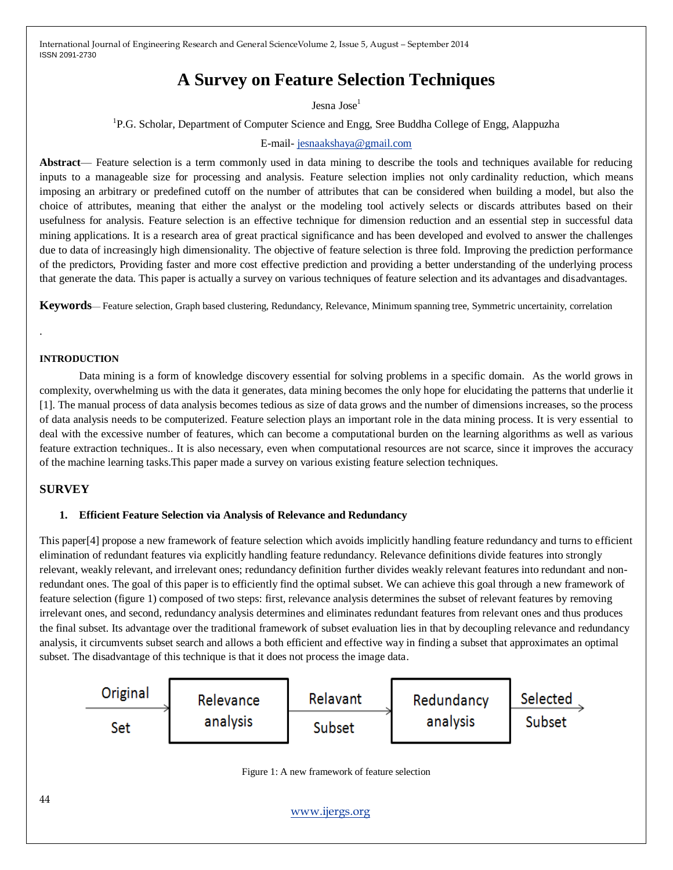International Journal of Engineering Research and General ScienceVolume 2, Issue 5, August – September 2014 ISSN 2091-2730

# **A Survey on Feature Selection Techniques**

Jesna Jose<sup>1</sup>

<sup>1</sup>P.G. Scholar, Department of Computer Science and Engg, Sree Buddha College of Engg, Alappuzha

E-mail- [jesnaakshaya@gmail.com](mailto:jesnaakshaya@gmail.com)

**Abstract**— Feature selection is a term commonly used in data mining to describe the tools and techniques available for reducing inputs to a manageable size for processing and analysis. Feature selection implies not only cardinality reduction, which means imposing an arbitrary or predefined cutoff on the number of attributes that can be considered when building a model, but also the choice of attributes, meaning that either the analyst or the modeling tool actively selects or discards attributes based on their usefulness for analysis. Feature selection is an effective technique for dimension reduction and an essential step in successful data mining applications. It is a research area of great practical significance and has been developed and evolved to answer the challenges due to data of increasingly high dimensionality. The objective of feature selection is three fold. Improving the prediction performance of the predictors, Providing faster and more cost effective prediction and providing a better understanding of the underlying process that generate the data. This paper is actually a survey on various techniques of feature selection and its advantages and disadvantages.

**Keywords**— Feature selection, Graph based clustering, Redundancy, Relevance, Minimum spanning tree, Symmetric uncertainity, correlation

### **INTRODUCTION**

.

Data mining is a form of knowledge discovery essential for solving problems in a specific domain. As the world grows in complexity, overwhelming us with the data it generates, data mining becomes the only hope for elucidating the patterns that underlie it [1]. The manual process of data analysis becomes tedious as size of data grows and the number of dimensions increases, so the process of data analysis needs to be computerized. Feature selection plays an important role in the data mining process. It is very essential to deal with the excessive number of features, which can become a computational burden on the learning algorithms as well as various feature extraction techniques.. It is also necessary, even when computational resources are not scarce, since it improves the accuracy of the machine learning tasks.This paper made a survey on various existing feature selection techniques.

#### **SURVEY**

#### **1. Efficient Feature Selection via Analysis of Relevance and Redundancy**

This paper[4] propose a new framework of feature selection which avoids implicitly handling feature redundancy and turns to efficient elimination of redundant features via explicitly handling feature redundancy. Relevance definitions divide features into strongly relevant, weakly relevant, and irrelevant ones; redundancy definition further divides weakly relevant features into redundant and nonredundant ones. The goal of this paper is to efficiently find the optimal subset. We can achieve this goal through a new framework of feature selection (figure 1) composed of two steps: first, relevance analysis determines the subset of relevant features by removing irrelevant ones, and second, redundancy analysis determines and eliminates redundant features from relevant ones and thus produces the final subset. Its advantage over the traditional framework of subset evaluation lies in that by decoupling relevance and redundancy analysis, it circumvents subset search and allows a both efficient and effective way in finding a subset that approximates an optimal subset. The disadvantage of this technique is that it does not process the image data.

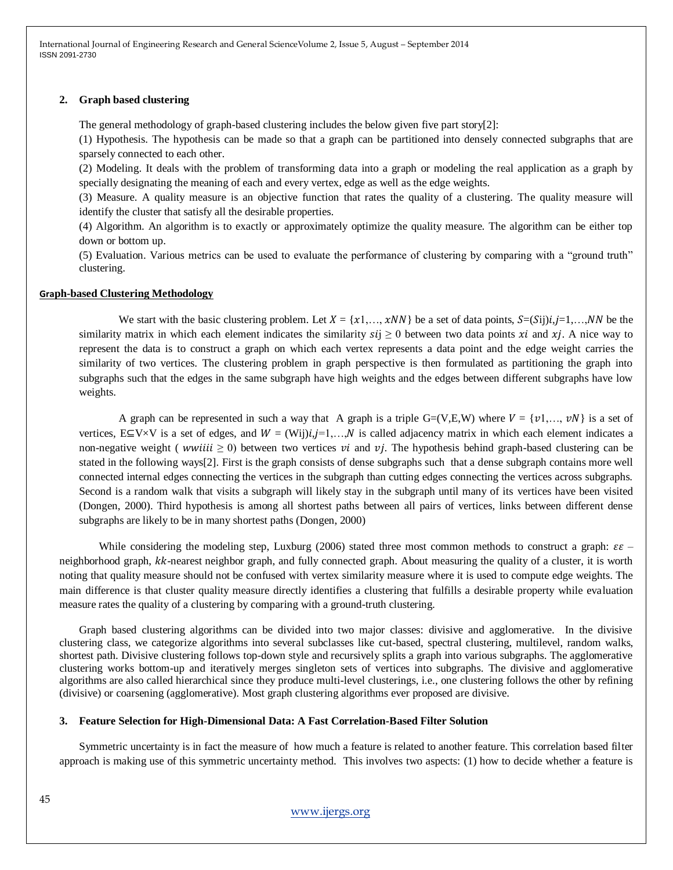International Journal of Engineering Research and General ScienceVolume 2, Issue 5, August – September 2014 ISSN 2091-2730

#### **2. Graph based clustering**

The general methodology of graph-based clustering includes the below given five part story[2]:

(1) Hypothesis. The hypothesis can be made so that a graph can be partitioned into densely connected subgraphs that are sparsely connected to each other.

(2) Modeling. It deals with the problem of transforming data into a graph or modeling the real application as a graph by specially designating the meaning of each and every vertex, edge as well as the edge weights.

(3) Measure. A quality measure is an objective function that rates the quality of a clustering. The quality measure will identify the cluster that satisfy all the desirable properties.

(4) Algorithm. An algorithm is to exactly or approximately optimize the quality measure. The algorithm can be either top down or bottom up.

(5) Evaluation. Various metrics can be used to evaluate the performance of clustering by comparing with a "ground truth" clustering.

#### **Graph-based Clustering Methodology**

We start with the basic clustering problem. Let  $X = \{x1, \ldots, xNN\}$  be a set of data points,  $S = (Sij)i, j = 1, \ldots, NN$  be the similarity matrix in which each element indicates the similarity  $si \ge 0$  between two data points  $xi$  and  $xi$ . A nice way to represent the data is to construct a graph on which each vertex represents a data point and the edge weight carries the similarity of two vertices. The clustering problem in graph perspective is then formulated as partitioning the graph into subgraphs such that the edges in the same subgraph have high weights and the edges between different subgraphs have low weights.

A graph can be represented in such a way that A graph is a triple  $G=(V,E,W)$  where  $V = \{v1,..., vN\}$  is a set of vertices, E⊆V×V is a set of edges, and  $W = (Wij)i, j=1,...,N$  is called adjacency matrix in which each element indicates a non-negative weight (*wwiiii*  $\geq$  0) between two vertices *vi* and *vj*. The hypothesis behind graph-based clustering can be stated in the following ways[2]. First is the graph consists of dense subgraphs such that a dense subgraph contains more well connected internal edges connecting the vertices in the subgraph than cutting edges connecting the vertices across subgraphs. Second is a random walk that visits a subgraph will likely stay in the subgraph until many of its vertices have been visited (Dongen, 2000). Third hypothesis is among all shortest paths between all pairs of vertices, links between different dense subgraphs are likely to be in many shortest paths (Dongen, 2000)

While considering the modeling step, Luxburg (2006) stated three most common methods to construct a graph:  $\epsilon \epsilon$  neighborhood graph, kk-nearest neighbor graph, and fully connected graph. About measuring the quality of a cluster, it is worth noting that quality measure should not be confused with vertex similarity measure where it is used to compute edge weights. The main difference is that cluster quality measure directly identifies a clustering that fulfills a desirable property while evaluation measure rates the quality of a clustering by comparing with a ground-truth clustering.

Graph based clustering algorithms can be divided into two major classes: divisive and agglomerative. In the divisive clustering class, we categorize algorithms into several subclasses like cut-based, spectral clustering, multilevel, random walks, shortest path. Divisive clustering follows top-down style and recursively splits a graph into various subgraphs. The agglomerative clustering works bottom-up and iteratively merges singleton sets of vertices into subgraphs. The divisive and agglomerative algorithms are also called hierarchical since they produce multi-level clusterings, i.e., one clustering follows the other by refining (divisive) or coarsening (agglomerative). Most graph clustering algorithms ever proposed are divisive.

# **3. Feature Selection for High-Dimensional Data: A Fast Correlation-Based Filter Solution**

Symmetric uncertainty is in fact the measure of how much a feature is related to another feature. This correlation based filter approach is making use of this symmetric uncertainty method. This involves two aspects: (1) how to decide whether a feature is